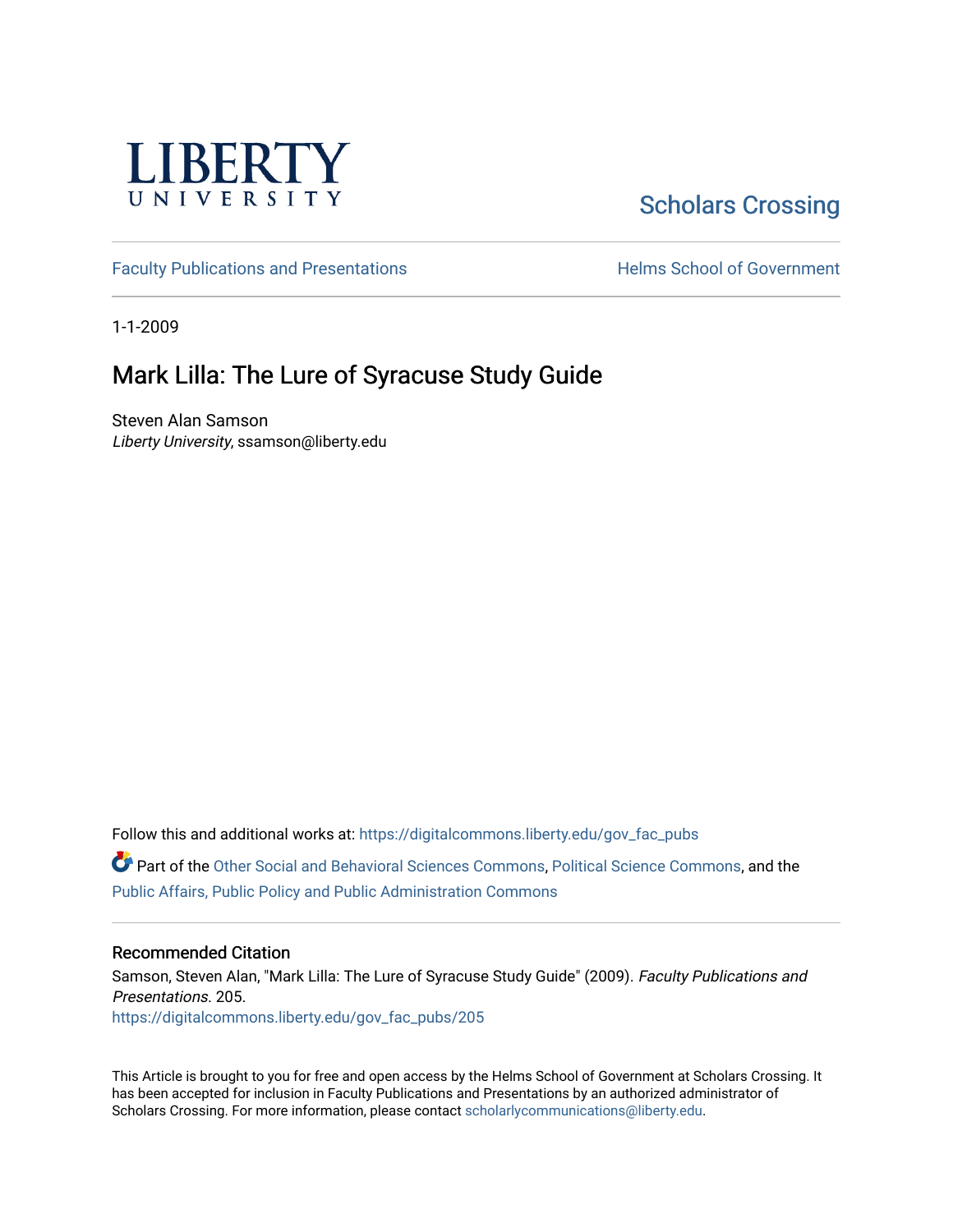

# [Scholars Crossing](https://digitalcommons.liberty.edu/)

[Faculty Publications and Presentations](https://digitalcommons.liberty.edu/gov_fac_pubs) **Exercise School of Government** 

1-1-2009

### Mark Lilla: The Lure of Syracuse Study Guide

Steven Alan Samson Liberty University, ssamson@liberty.edu

Follow this and additional works at: [https://digitalcommons.liberty.edu/gov\\_fac\\_pubs](https://digitalcommons.liberty.edu/gov_fac_pubs?utm_source=digitalcommons.liberty.edu%2Fgov_fac_pubs%2F205&utm_medium=PDF&utm_campaign=PDFCoverPages)

Part of the [Other Social and Behavioral Sciences Commons](http://network.bepress.com/hgg/discipline/437?utm_source=digitalcommons.liberty.edu%2Fgov_fac_pubs%2F205&utm_medium=PDF&utm_campaign=PDFCoverPages), [Political Science Commons](http://network.bepress.com/hgg/discipline/386?utm_source=digitalcommons.liberty.edu%2Fgov_fac_pubs%2F205&utm_medium=PDF&utm_campaign=PDFCoverPages), and the [Public Affairs, Public Policy and Public Administration Commons](http://network.bepress.com/hgg/discipline/393?utm_source=digitalcommons.liberty.edu%2Fgov_fac_pubs%2F205&utm_medium=PDF&utm_campaign=PDFCoverPages)

#### Recommended Citation

Samson, Steven Alan, "Mark Lilla: The Lure of Syracuse Study Guide" (2009). Faculty Publications and Presentations. 205. [https://digitalcommons.liberty.edu/gov\\_fac\\_pubs/205](https://digitalcommons.liberty.edu/gov_fac_pubs/205?utm_source=digitalcommons.liberty.edu%2Fgov_fac_pubs%2F205&utm_medium=PDF&utm_campaign=PDFCoverPages)

This Article is brought to you for free and open access by the Helms School of Government at Scholars Crossing. It has been accepted for inclusion in Faculty Publications and Presentations by an authorized administrator of Scholars Crossing. For more information, please contact [scholarlycommunications@liberty.edu.](mailto:scholarlycommunications@liberty.edu)